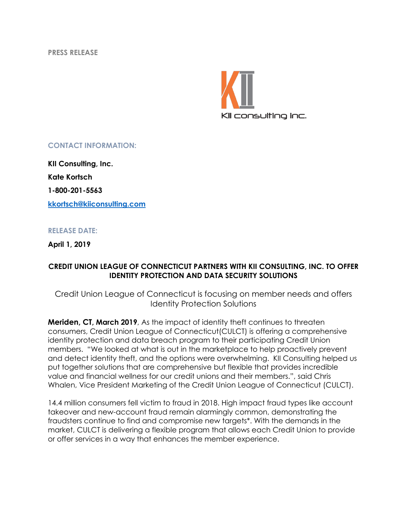**PRESS RELEASE**



## **CONTACT INFORMATION:**

**KII Consulting, Inc. Kate Kortsch 1-800-201-5563 kkortsch@kiiconsulting.com**

## **RELEASE DATE:**

**April 1, 2019**

## **CREDIT UNION LEAGUE OF CONNECTICUT PARTNERS WITH KII CONSULTING, INC. TO OFFER IDENTITY PROTECTION AND DATA SECURITY SOLUTIONS**

Credit Union League of Connecticut is focusing on member needs and offers Identity Protection Solutions

**Meriden, CT, March 2019**, As the impact of identity theft continues to threaten consumers, Credit Union League of Connecticut(CULCT) is offering a comprehensive identity protection and data breach program to their participating Credit Union members. "We looked at what is out in the marketplace to help proactively prevent and detect identity theft, and the options were overwhelming. KII Consulting helped us put together solutions that are comprehensive but flexible that provides incredible value and financial wellness for our credit unions and their members.", said Chris Whalen, Vice President Marketing of the Credit Union League of Connecticut (CULCT).

14.4 million consumers fell victim to fraud in 2018. High impact fraud types like account takeover and new-account fraud remain alarmingly common, demonstrating the fraudsters continue to find and compromise new targets\*. With the demands in the market, CULCT is delivering a flexible program that allows each Credit Union to provide or offer services in a way that enhances the member experience.